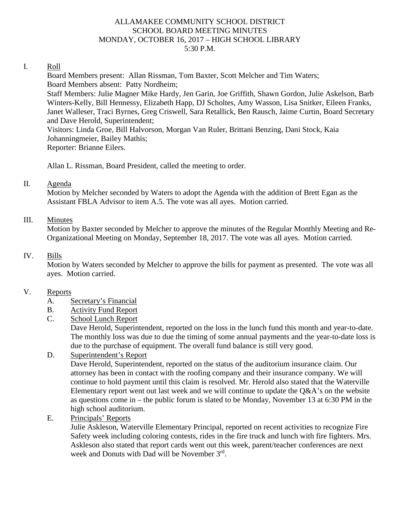## ALLAMAKEE COMMUNITY SCHOOL DISTRICT SCHOOL BOARD MEETING MINUTES MONDAY, OCTOBER 16, 2017 – HIGH SCHOOL LIBRARY 5:30 P.M.

## I. Roll

Board Members present: Allan Rissman, Tom Baxter, Scott Melcher and Tim Waters; Board Members absent: Patty Nordheim;

Staff Members: Julie Magner Mike Hardy, Jen Garin, Joe Griffith, Shawn Gordon, Julie Askelson, Barb Winters-Kelly, Bill Hennessy, Elizabeth Happ, DJ Scholtes, Amy Wasson, Lisa Snitker, Eileen Franks, Janet Walleser, Traci Byrnes, Greg Criswell, Sara Retallick, Ben Rausch, Jaime Curtin, Board Secretary and Dave Herold, Superintendent;

Visitors: Linda Groe, Bill Halvorson, Morgan Van Ruler, Brittani Benzing, Dani Stock, Kaia Johanningmeier, Bailey Mathis; Reporter: Brianne Eilers.

Allan L. Rissman, Board President, called the meeting to order.

## II. Agenda

Motion by Melcher seconded by Waters to adopt the Agenda with the addition of Brett Egan as the Assistant FBLA Advisor to item A.5. The vote was all ayes. Motion carried.

## III. Minutes

Motion by Baxter seconded by Melcher to approve the minutes of the Regular Monthly Meeting and Re-Organizational Meeting on Monday, September 18, 2017. The vote was all ayes. Motion carried.

## IV. Bills

Motion by Waters seconded by Melcher to approve the bills for payment as presented. The vote was all ayes. Motion carried.

### V. Reports

- A. Secretary's Financial
- B. Activity Fund Report
- C. School Lunch Report

Dave Herold, Superintendent, reported on the loss in the lunch fund this month and year-to-date. The monthly loss was due to due the timing of some annual payments and the year-to-date loss is due to the purchase of equipment. The overall fund balance is still very good.

D. Superintendent's Report

Dave Herold, Superintendent, reported on the status of the auditorium insurance claim. Our attorney has been in contact with the roofing company and their insurance company. We will continue to hold payment until this claim is resolved. Mr. Herold also stated that the Waterville Elementary report went out last week and we will continue to update the  $Q\&A$ 's on the website as questions come in – the public forum is slated to be Monday, November 13 at 6:30 PM in the high school auditorium.

E. Principals' Reports

Julie Askleson, Waterville Elementary Principal, reported on recent activities to recognize Fire Safety week including coloring contests, rides in the fire truck and lunch with fire fighters. Mrs. Askleson also stated that report cards went out this week, parent/teacher conferences are next week and Donuts with Dad will be November 3rd.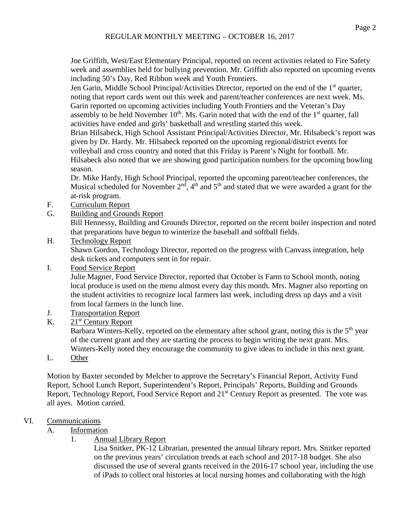Joe Griffith, West/East Elementary Principal, reported on recent activities related to Fire Safety week and assemblies held for bullying prevention. Mr. Griffith also reported on upcoming events including 50's Day, Red Ribbon week and Youth Frontiers.

Jen Garin, Middle School Principal/Activities Director, reported on the end of the 1<sup>st</sup> quarter, noting that report cards went out this week and parent/teacher conferences are next week. Ms. Garin reported on upcoming activities including Youth Frontiers and the Veteran's Day assembly to be held November  $10<sup>th</sup>$ . Ms. Garin noted that with the end of the  $1<sup>st</sup>$  quarter, fall activities have ended and girls' basketball and wrestling started this week.

Brian Hilsabeck, High School Assistant Principal/Activities Director, Mr. Hilsabeck's report was given by Dr. Hardy. Mr. Hilsabeck reported on the upcoming regional/district events for volleyball and cross country and noted that this Friday is Parent's Night for football. Mr. Hilsabeck also noted that we are showing good participation numbers for the upcoming bowling season.

Dr. Mike Hardy, High School Principal, reported the upcoming parent/teacher conferences, the Musical scheduled for November  $2<sup>nd</sup>$ ,  $4<sup>th</sup>$  and  $5<sup>th</sup>$  and stated that we were awarded a grant for the at-risk program.

- F. Curriculum Report
- G. Building and Grounds Report

Bill Hennessy, Building and Grounds Director, reported on the recent boiler inspection and noted that preparations have begun to winterize the baseball and softball fields.

H. Technology Report

Shawn Gordon, Technology Director, reported on the progress with Canvass integration, help desk tickets and computers sent in for repair.

I. Food Service Report

Julie Magner, Food Service Director, reported that October is Farm to School month, noting local produce is used on the menu almost every day this month. Mrs. Magner also reporting on the student activities to recognize local farmers last week, including dress up days and a visit from local farmers in the lunch line.

- J. Transportation Report
- K.  $21<sup>st</sup>$  Century Report

Barbara Winters-Kelly, reported on the elementary after school grant, noting this is the 5<sup>th</sup> year of the current grant and they are starting the process to begin writing the next grant. Mrs. Winters-Kelly noted they encourage the community to give ideas to include in this next grant.

L. Other

Motion by Baxter seconded by Melcher to approve the Secretary's Financial Report, Activity Fund Report, School Lunch Report, Superintendent's Report, Principals' Reports, Building and Grounds Report, Technology Report, Food Service Report and 21<sup>st</sup> Century Report as presented. The vote was all ayes. Motion carried.

## VI. Communications

- A. Information
	- 1. Annual Library Report

Lisa Snitker, PK-12 Librarian, presented the annual library report. Mrs. Snitker reported on the previous years' circulation trends at each school and 2017-18 budget. She also discussed the use of several grants received in the 2016-17 school year, including the use of iPads to collect oral histories at local nursing homes and collaborating with the high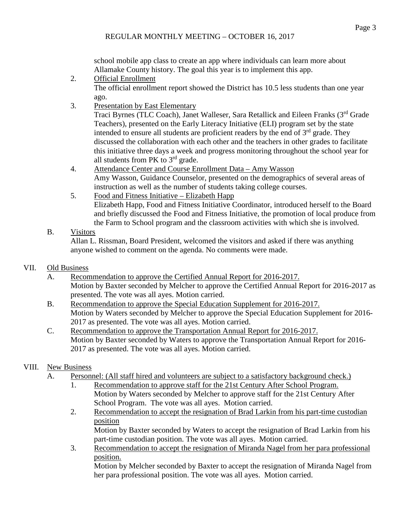school mobile app class to create an app where individuals can learn more about Allamake County history. The goal this year is to implement this app.

2. Official Enrollment

The official enrollment report showed the District has 10.5 less students than one year ago.

3. Presentation by East Elementary

Traci Byrnes (TLC Coach), Janet Walleser, Sara Retallick and Eileen Franks (3rd Grade Teachers), presented on the Early Literacy Initiative (ELI) program set by the state intended to ensure all students are proficient readers by the end of  $3<sup>rd</sup>$  grade. They discussed the collaboration with each other and the teachers in other grades to facilitate this initiative three days a week and progress monitoring throughout the school year for all students from PK to 3rd grade.

- 4. Attendance Center and Course Enrollment Data Amy Wasson Amy Wasson, Guidance Counselor, presented on the demographics of several areas of instruction as well as the number of students taking college courses.
- 5. Food and Fitness Initiative Elizabeth Happ Elizabeth Happ, Food and Fitness Initiative Coordinator, introduced herself to the Board and briefly discussed the Food and Fitness Initiative, the promotion of local produce from the Farm to School program and the classroom activities with which she is involved.

# B. Visitors

Allan L. Rissman, Board President, welcomed the visitors and asked if there was anything anyone wished to comment on the agenda. No comments were made.

## VII. Old Business

- A. Recommendation to approve the Certified Annual Report for 2016-2017. Motion by Baxter seconded by Melcher to approve the Certified Annual Report for 2016-2017 as presented. The vote was all ayes. Motion carried.
- B. Recommendation to approve the Special Education Supplement for 2016-2017. Motion by Waters seconded by Melcher to approve the Special Education Supplement for 2016- 2017 as presented. The vote was all ayes. Motion carried.
- C. Recommendation to approve the Transportation Annual Report for 2016-2017. Motion by Baxter seconded by Waters to approve the Transportation Annual Report for 2016- 2017 as presented. The vote was all ayes. Motion carried.

## VIII. New Business

- A. Personnel: (All staff hired and volunteers are subject to a satisfactory background check.)
	- 1. Recommendation to approve staff for the 21st Century After School Program. Motion by Waters seconded by Melcher to approve staff for the 21st Century After School Program. The vote was all ayes. Motion carried.
	- 2. Recommendation to accept the resignation of Brad Larkin from his part-time custodian position

Motion by Baxter seconded by Waters to accept the resignation of Brad Larkin from his part-time custodian position. The vote was all ayes. Motion carried.

3. Recommendation to accept the resignation of Miranda Nagel from her para professional position.

Motion by Melcher seconded by Baxter to accept the resignation of Miranda Nagel from her para professional position. The vote was all ayes. Motion carried.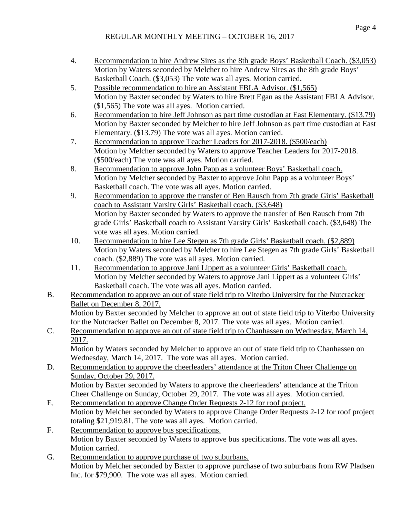## REGULAR MONTHLY MEETING – OCTOBER 16, 2017

- 4. Recommendation to hire Andrew Sires as the 8th grade Boys' Basketball Coach. (\$3,053) Motion by Waters seconded by Melcher to hire Andrew Sires as the 8th grade Boys' Basketball Coach. (\$3,053) The vote was all ayes. Motion carried.
- 5. Possible recommendation to hire an Assistant FBLA Advisor. (\$1,565) Motion by Baxter seconded by Waters to hire Brett Egan as the Assistant FBLA Advisor. (\$1,565) The vote was all ayes. Motion carried.
- 6. Recommendation to hire Jeff Johnson as part time custodian at East Elementary. (\$13.79) Motion by Baxter seconded by Melcher to hire Jeff Johnson as part time custodian at East Elementary. (\$13.79) The vote was all ayes. Motion carried.
- 7. Recommendation to approve Teacher Leaders for 2017-2018. (\$500/each) Motion by Melcher seconded by Waters to approve Teacher Leaders for 2017-2018. (\$500/each) The vote was all ayes. Motion carried.
- 8. Recommendation to approve John Papp as a volunteer Boys' Basketball coach. Motion by Melcher seconded by Baxter to approve John Papp as a volunteer Boys' Basketball coach. The vote was all ayes. Motion carried.
- 9. Recommendation to approve the transfer of Ben Rausch from 7th grade Girls' Basketball coach to Assistant Varsity Girls' Basketball coach. (\$3,648) Motion by Baxter seconded by Waters to approve the transfer of Ben Rausch from 7th grade Girls' Basketball coach to Assistant Varsity Girls' Basketball coach. (\$3,648) The vote was all ayes. Motion carried.
- 10. Recommendation to hire Lee Stegen as 7th grade Girls' Basketball coach. (\$2,889) Motion by Waters seconded by Melcher to hire Lee Stegen as 7th grade Girls' Basketball coach. (\$2,889) The vote was all ayes. Motion carried.
- 11. Recommendation to approve Jani Lippert as a volunteer Girls' Basketball coach. Motion by Melcher seconded by Waters to approve Jani Lippert as a volunteer Girls' Basketball coach. The vote was all ayes. Motion carried.
- B. Recommendation to approve an out of state field trip to Viterbo University for the Nutcracker Ballet on December 8, 2017.

Motion by Baxter seconded by Melcher to approve an out of state field trip to Viterbo University for the Nutcracker Ballet on December 8, 2017. The vote was all ayes. Motion carried.

C. Recommendation to approve an out of state field trip to Chanhassen on Wednesday, March 14, 2017. Motion by Waters seconded by Melcher to approve an out of state field trip to Chanhassen on

Wednesday, March 14, 2017. The vote was all ayes. Motion carried.

- D. Recommendation to approve the cheerleaders' attendance at the Triton Cheer Challenge on Sunday, October 29, 2017. Motion by Baxter seconded by Waters to approve the cheerleaders' attendance at the Triton Cheer Challenge on Sunday, October 29, 2017. The vote was all ayes. Motion carried.
- E. Recommendation to approve Change Order Requests 2-12 for roof project. Motion by Melcher seconded by Waters to approve Change Order Requests 2-12 for roof project totaling \$21,919.81. The vote was all ayes. Motion carried.
- F. Recommendation to approve bus specifications. Motion by Baxter seconded by Waters to approve bus specifications. The vote was all ayes. Motion carried.
- G. Recommendation to approve purchase of two suburbans. Motion by Melcher seconded by Baxter to approve purchase of two suburbans from RW Pladsen Inc. for \$79,900. The vote was all ayes. Motion carried.